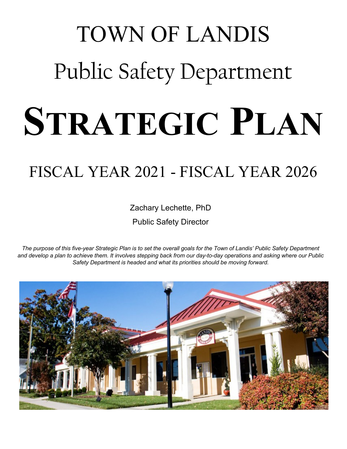# TOWN OF LANDIS Public Safety Department **STRATEGIC PLAN**

# FISCAL YEAR <sup>2021</sup> - FISCAL YEAR <sup>2026</sup>

Zachary Lechette, PhD Public Safety Director

*The purpose of this five-year Strategic Plan is to set the overall goals for the Town of Landis' Public Safety Department and develop a plan to achieve them. It involves stepping back from our day-to-day operations and asking where our Public Safety Department is headed and what its priorities should be moving forward.*

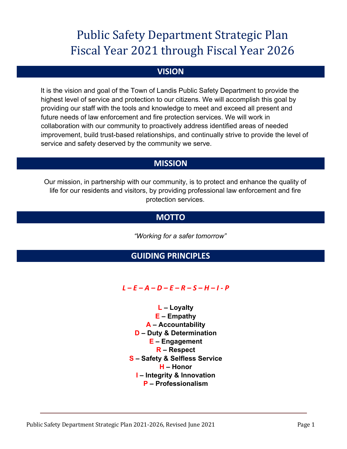# Public Safety Department Strategic Plan Fiscal Year 2021 through Fiscal Year 2026

### **VISION**

It is the vision and goal of the Town of Landis Public Safety Department to provide the highest level of service and protection to our citizens. We will accomplish this goal by providing our staff with the tools and knowledge to meet and exceed all present and future needs of law enforcement and fire protection services. We will work in collaboration with our community to proactively address identified areas of needed improvement, build trust-based relationships, and continually strive to provide the level of service and safety deserved by the community we serve.

# **MISSION**

Our mission, in partnership with our community, is to protect and enhance the quality of life for our residents and visitors, by providing professional law enforcement and fire protection services.

# **MOTTO**

*"Working for a safer tomorrow"*

# **GUIDING PRINCIPLES**

#### *L – E – A – D – E – R – S – H – I - P*

**L – Loyalty E – Empathy A – Accountability D – Duty & Determination E – Engagement R – Respect S – Safety & Selfless Service H – Honor I – Integrity & Innovation P – Professionalism**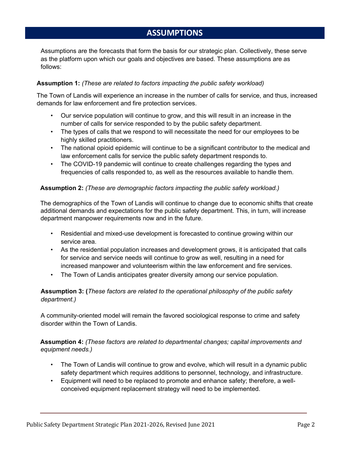## **ASSUMPTIONS**

Assumptions are the forecasts that form the basis for our strategic plan. Collectively, these serve as the platform upon which our goals and objectives are based. These assumptions are as follows:

#### **Assumption 1:** *(These are related to factors impacting the public safety workload)*

The Town of Landis will experience an increase in the number of calls for service, and thus, increased demands for law enforcement and fire protection services.

- Our service population will continue to grow, and this will result in an increase in the number of calls for service responded to by the public safety department.
- The types of calls that we respond to will necessitate the need for our employees to be highly skilled practitioners.
- The national opioid epidemic will continue to be a significant contributor to the medical and law enforcement calls for service the public safety department responds to.
- The COVID-19 pandemic will continue to create challenges regarding the types and frequencies of calls responded to, as well as the resources available to handle them.

#### **Assumption 2:** *(These are demographic factors impacting the public safety workload.)*

The demographics of the Town of Landis will continue to change due to economic shifts that create additional demands and expectations for the public safety department. This, in turn, will increase department manpower requirements now and in the future.

- Residential and mixed-use development is forecasted to continue growing within our service area.
- As the residential population increases and development grows, it is anticipated that calls for service and service needs will continue to grow as well, resulting in a need for increased manpower and volunteerism within the law enforcement and fire services.
- The Town of Landis anticipates greater diversity among our service population.

#### **Assumption 3: (***These factors are related to the operational philosophy of the public safety department.)*

A community-oriented model will remain the favored sociological response to crime and safety disorder within the Town of Landis.

#### **Assumption 4:** *(These factors are related to departmental changes; capital improvements and equipment needs.)*

- The Town of Landis will continue to grow and evolve, which will result in a dynamic public safety department which requires additions to personnel, technology, and infrastructure.
- Equipment will need to be replaced to promote and enhance safety; therefore, a wellconceived equipment replacement strategy will need to be implemented.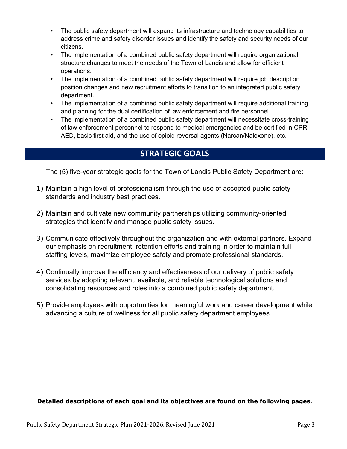- The public safety department will expand its infrastructure and technology capabilities to address crime and safety disorder issues and identify the safety and security needs of our citizens.
- The implementation of a combined public safety department will require organizational structure changes to meet the needs of the Town of Landis and allow for efficient operations.
- The implementation of a combined public safety department will require job description position changes and new recruitment efforts to transition to an integrated public safety department.
- The implementation of a combined public safety department will require additional training and planning for the dual certification of law enforcement and fire personnel.
- The implementation of a combined public safety department will necessitate cross-training of law enforcement personnel to respond to medical emergencies and be certified in CPR, AED, basic first aid, and the use of opioid reversal agents (Narcan/Naloxone), etc.

# **STRATEGIC GOALS**

The (5) five-year strategic goals for the Town of Landis Public Safety Department are:

- 1) Maintain a high level of professionalism through the use of accepted public safety standards and industry best practices.
- 2) Maintain and cultivate new community partnerships utilizing community-oriented strategies that identify and manage public safety issues.
- 3) Communicate effectively throughout the organization and with external partners. Expand our emphasis on recruitment, retention efforts and training in order to maintain full staffing levels, maximize employee safety and promote professional standards.
- 4) Continually improve the efficiency and effectiveness of our delivery of public safety services by adopting relevant, available, and reliable technological solutions and consolidating resources and roles into a combined public safety department.
- 5) Provide employees with opportunities for meaningful work and career development while advancing a culture of wellness for all public safety department employees.

#### **Detailed descriptions of each goal and its objectives are found on the following pages.**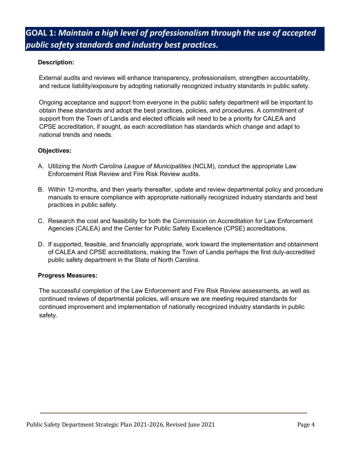#### **Description:**

External audits and reviews will enhance transparency, professionalism, strengthen accountability, and reduce liability/exposure by adopting nationally recognized industry standards in public safety.

Ongoing acceptance and support from everyone in the public safety department will be important to obtain these standards and adopt the best practices, policies, and procedures. A commitment of support from the Town of Landis and elected officials will need to be a priority for CALEA and CPSE accreditation, if sought, as each accreditation has standards which change and adapt to national trends and needs.

#### **Objectives:**

- A. Utilizing the *North Carolina League of Municipalities* (NCLM), conduct the appropriate Law Enforcement Risk Review and Fire Risk Review audits.
- B. Within 12-months, and then yearly thereafter, update and review departmental policy and procedure manuals to ensure compliance with appropriate nationally recognized industry standards and best practices in public safety.
- C. Research the cost and feasibility for both the Commission on Accreditation for Law Enforcement Agencies (CALEA) and the Center for Public Safety Excellence (CPSE) accreditations.
- D. If supported, feasible, and financially appropriate, work toward the implementation and obtainment of CALEA and CPSE accreditations, making the Town of Landis perhaps the first duly-accredited public safety department in the State of North Carolina.

#### **Progress Measures:**

The successful completion of the Law Enforcement and Fire Risk Review assessments, as well as continued reviews of departmental policies, will ensure we are meeting required standards for continued improvement and implementation of nationally recognized industry standards in public safety.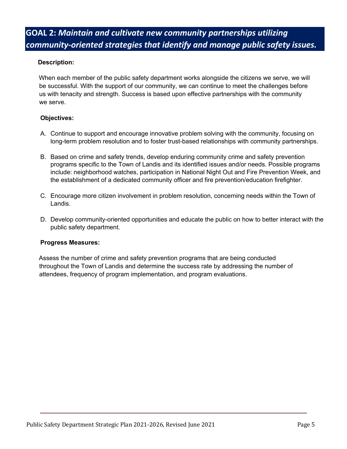#### **Description:**

When each member of the public safety department works alongside the citizens we serve, we will be successful. With the support of our community, we can continue to meet the challenges before us with tenacity and strength. Success is based upon effective partnerships with the community we serve.

#### **Objectives:**

- A. Continue to support and encourage innovative problem solving with the community, focusing on long-term problem resolution and to foster trust-based relationships with community partnerships.
- B. Based on crime and safety trends, develop enduring community crime and safety prevention programs specific to the Town of Landis and its identified issues and/or needs. Possible programs include: neighborhood watches, participation in National Night Out and Fire Prevention Week, and the establishment of a dedicated community officer and fire prevention/education firefighter.
- C. Encourage more citizen involvement in problem resolution, concerning needs within the Town of Landis.
- D. Develop community-oriented opportunities and educate the public on how to better interact with the public safety department.

#### **Progress Measures:**

Assess the number of crime and safety prevention programs that are being conducted throughout the Town of Landis and determine the success rate by addressing the number of attendees, frequency of program implementation, and program evaluations.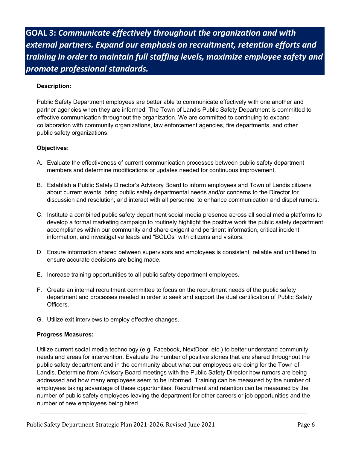**GOAL 3:** *Communicate effectively throughout the organization and with external partners. Expand our emphasis on recruitment, retention efforts and training in order to maintain full staffing levels, maximize employee safety and promote professional standards.*

#### **Description:**

Public Safety Department employees are better able to communicate effectively with one another and partner agencies when they are informed. The Town of Landis Public Safety Department is committed to effective communication throughout the organization. We are committed to continuing to expand collaboration with community organizations, law enforcement agencies, fire departments, and other public safety organizations.

#### **Objectives:**

- A. Evaluate the effectiveness of current communication processes between public safety department members and determine modifications or updates needed for continuous improvement.
- B. Establish a Public Safety Director's Advisory Board to inform employees and Town of Landis citizens about current events, bring public safety departmental needs and/or concerns to the Director for discussion and resolution, and interact with all personnel to enhance communication and dispel rumors.
- C. Institute a combined public safety department social media presence across all social media platforms to develop a formal marketing campaign to routinely highlight the positive work the public safety department accomplishes within our community and share exigent and pertinent information, critical incident information, and investigative leads and "BOLOs" with citizens and visitors.
- D. Ensure information shared between supervisors and employees is consistent, reliable and unfiltered to ensure accurate decisions are being made.
- E. Increase training opportunities to all public safety department employees.
- F. Create an internal recruitment committee to focus on the recruitment needs of the public safety department and processes needed in order to seek and support the dual certification of Public Safety Officers.
- G. Utilize exit interviews to employ effective changes.

#### **Progress Measures:**

Utilize current social media technology (e.g. Facebook, NextDoor, etc.) to better understand community needs and areas for intervention. Evaluate the number of positive stories that are shared throughout the public safety department and in the community about what our employees are doing for the Town of Landis. Determine from Advisory Board meetings with the Public Safety Director how rumors are being addressed and how many employees seem to be informed. Training can be measured by the number of employees taking advantage of these opportunities. Recruitment and retention can be measured by the number of public safety employees leaving the department for other careers or job opportunities and the number of new employees being hired.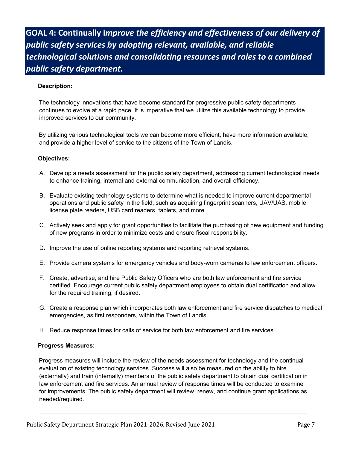**GOAL 4: Continually i***mprove the efficiency and effectiveness of our delivery of public safety services by adopting relevant, available, and reliable technological solutions and consolidating resources and roles to a combined public safety department.*

#### **Description:**

The technology innovations that have become standard for progressive public safety departments continues to evolve at a rapid pace. It is imperative that we utilize this available technology to provide improved services to our community.

By utilizing various technological tools we can become more efficient, have more information available, and provide a higher level of service to the citizens of the Town of Landis.

#### **Objectives:**

- A. Develop a needs assessment for the public safety department, addressing current technological needs to enhance training, internal and external communication, and overall efficiency.
- B. Evaluate existing technology systems to determine what is needed to improve current departmental operations and public safety in the field; such as acquiring fingerprint scanners, UAV/UAS, mobile license plate readers, USB card readers, tablets, and more.
- C. Actively seek and apply for grant opportunities to facilitate the purchasing of new equipment and funding of new programs in order to minimize costs and ensure fiscal responsibility.
- D. Improve the use of online reporting systems and reporting retrieval systems.
- E. Provide camera systems for emergency vehicles and body-worn cameras to law enforcement officers.
- F. Create, advertise, and hire Public Safety Officers who are both law enforcement and fire service certified. Encourage current public safety department employees to obtain dual certification and allow for the required training, if desired.
- G. Create a response plan which incorporates both law enforcement and fire service dispatches to medical emergencies, as first responders, within the Town of Landis.
- H. Reduce response times for calls of service for both law enforcement and fire services.

#### **Progress Measures:**

Progress measures will include the review of the needs assessment for technology and the continual evaluation of existing technology services. Success will also be measured on the ability to hire (externally) and train (internally) members of the public safety department to obtain dual certification in law enforcement and fire services. An annual review of response times will be conducted to examine for improvements. The public safety department will review, renew, and continue grant applications as needed/required.